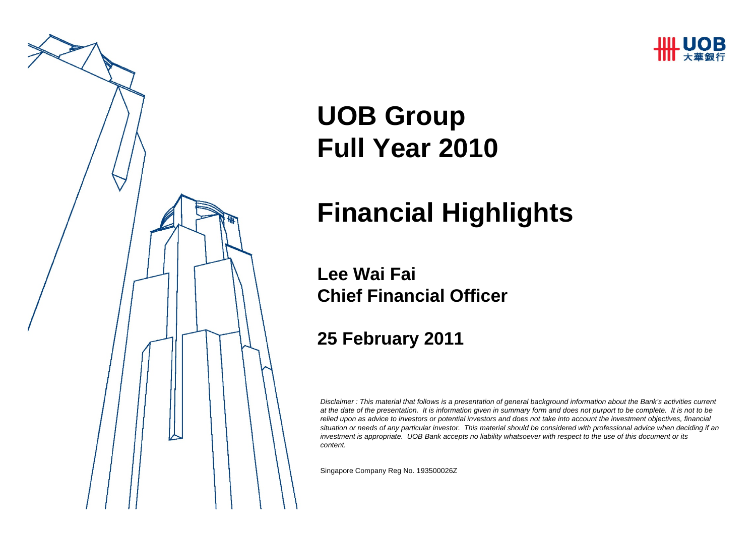



# **UOB Group Full Year 2010**

# **Financial Highlights**

#### **Lee Wai FaiChief Financial Officer**

#### **25 February 2011**

*Disclaimer : This material that follows is a presentation of general background information about the Bank's activities current at the date of the presentation. It is information given in summary form and does not purport to be complete. It is not to be relied upon as advice to investors or potential investors and does not take into account the investment objectives, financial situation or needs of any particular investor. This material should be considered with professional advice when deciding if an investment is appropriate. UOB Bank accepts no liability whatsoever with respect to the use of this document or its content.*

Singapore Company Reg No. 193500026Z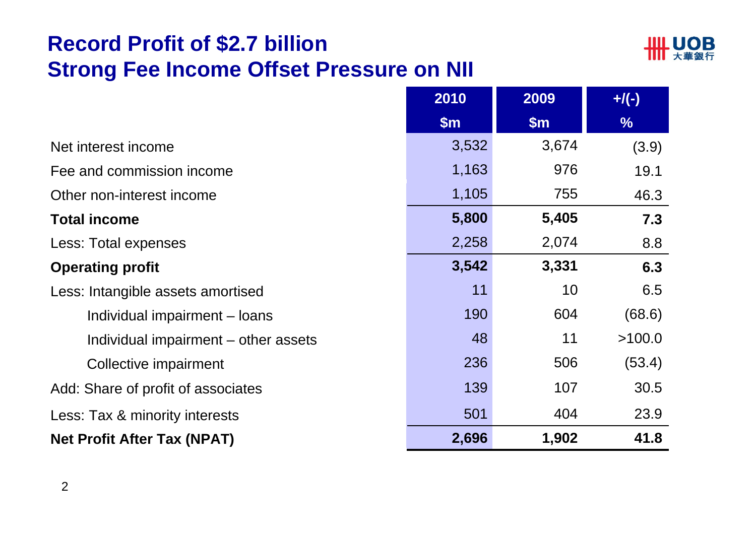# **Record Profit of \$2.7 billion Strong Fee Income Offset Pressure on NII**



|                                      | 2010          | 2009  | $+$ /(-)      |
|--------------------------------------|---------------|-------|---------------|
|                                      | $\mathsf{Sm}$ | \$m\$ | $\frac{9}{6}$ |
| Net interest income                  | 3,532         | 3,674 | (3.9)         |
| Fee and commission income            | 1,163         | 976   | 19.1          |
| Other non-interest income            | 1,105         | 755   | 46.3          |
| <b>Total income</b>                  | 5,800         | 5,405 | 7.3           |
| Less: Total expenses                 | 2,258         | 2,074 | 8.8           |
| <b>Operating profit</b>              | 3,542         | 3,331 | 6.3           |
| Less: Intangible assets amortised    | 11            | 10    | 6.5           |
| Individual impairment - loans        | 190           | 604   | (68.6)        |
| Individual impairment – other assets | 48            | 11    | >100.0        |
| Collective impairment                | 236           | 506   | (53.4)        |
| Add: Share of profit of associates   | 139           | 107   | 30.5          |
| Less: Tax & minority interests       | 501           | 404   | 23.9          |
| <b>Net Profit After Tax (NPAT)</b>   | 2,696         | 1,902 | 41.8          |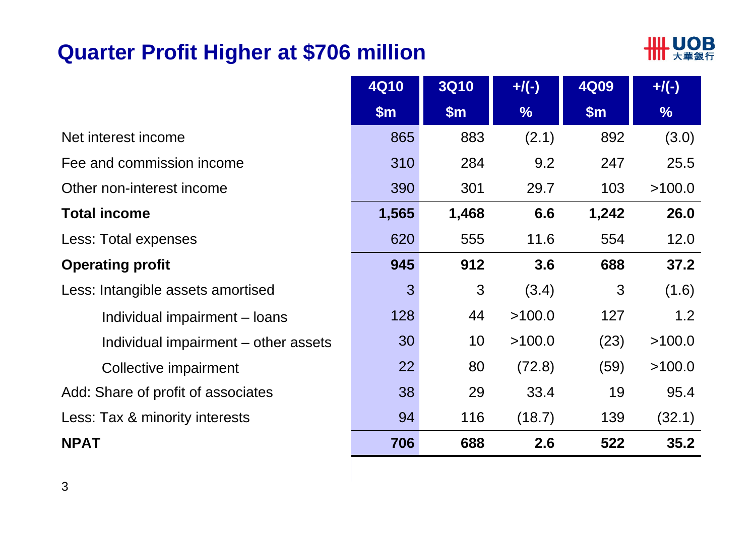# **Quarter Profit Higher at \$706 million**



|                                      | <b>4Q10</b> | <b>3Q10</b> | $+$ /(-)      | <b>4Q09</b> | $+$ /(-)      |
|--------------------------------------|-------------|-------------|---------------|-------------|---------------|
|                                      | \$m\$       | \$m\$       | $\frac{1}{2}$ | \$m\$       | $\frac{9}{6}$ |
| Net interest income                  | 865         | 883         | (2.1)         | 892         | (3.0)         |
| Fee and commission income            | 310         | 284         | 9.2           | 247         | 25.5          |
| Other non-interest income            | 390         | 301         | 29.7          | 103         | >100.0        |
| <b>Total income</b>                  | 1,565       | 1,468       | 6.6           | 1,242       | 26.0          |
| Less: Total expenses                 | 620         | 555         | 11.6          | 554         | 12.0          |
| <b>Operating profit</b>              | 945         | 912         | 3.6           | 688         | 37.2          |
| Less: Intangible assets amortised    | 3           | 3           | (3.4)         | 3           | (1.6)         |
| Individual impairment – loans        | 128         | 44          | >100.0        | 127         | 1.2           |
| Individual impairment – other assets | 30          | 10          | >100.0        | (23)        | >100.0        |
| Collective impairment                | 22          | 80          | (72.8)        | (59)        | >100.0        |
| Add: Share of profit of associates   | 38          | 29          | 33.4          | 19          | 95.4          |
| Less: Tax & minority interests       | 94          | 116         | (18.7)        | 139         | (32.1)        |
| <b>NPAT</b>                          | 706         | 688         | 2.6           | 522         | 35.2          |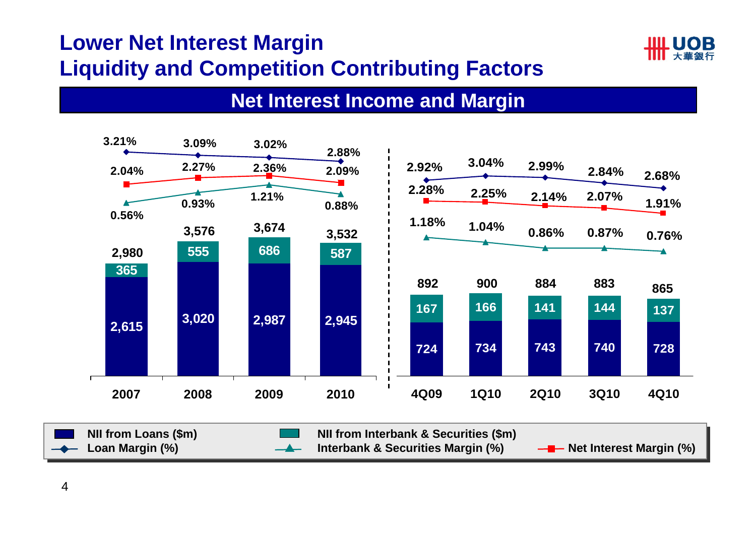# **Lower Net Interest Margin Liquidity and Competition Contributing Factors**



#### **Net Interest Income and Margin**

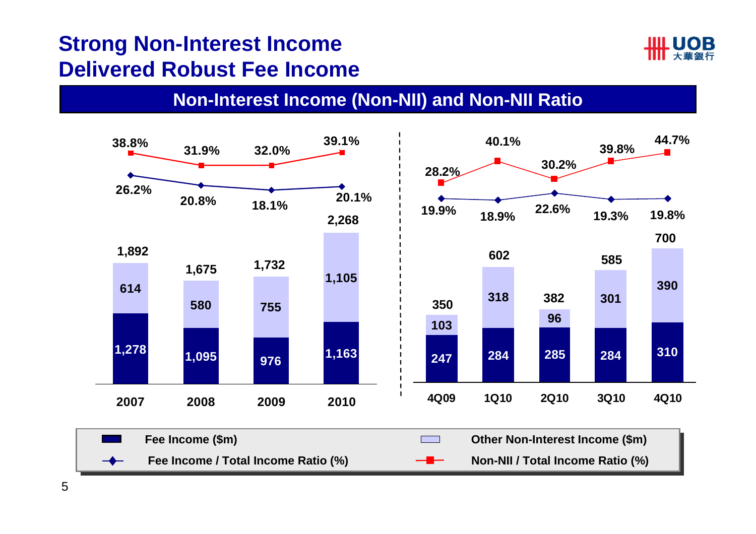# **Strong Non-Interest Income Delivered Robust Fee Income**



#### **Non-Interest Income (Non-NII) and Non-NII Ratio**



5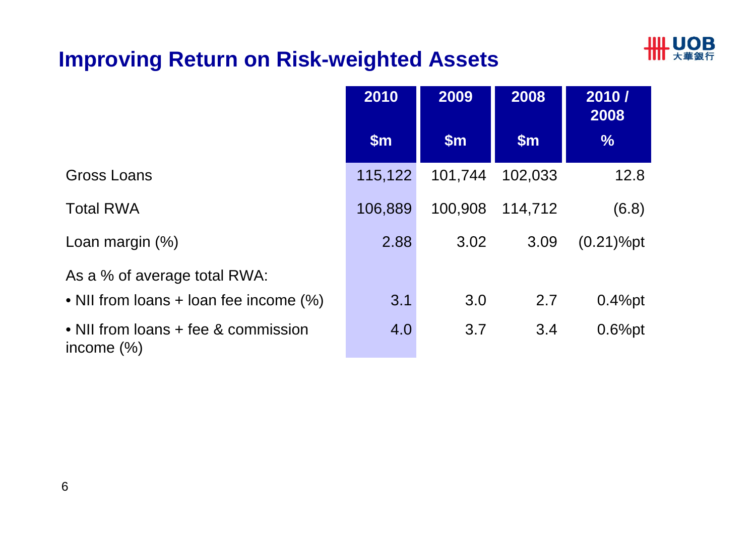# **HILL UOB**

# **Improving Return on Risk-weighted Assets**

|                                                      | 2010          | 2009          | 2008    | 2010/<br>2008 |
|------------------------------------------------------|---------------|---------------|---------|---------------|
|                                                      | $\mathsf{Sm}$ | $\mathsf{Sm}$ | \$m\$   | $\%$          |
| Gross Loans                                          | 115,122       | 101,744       | 102,033 | 12.8          |
| <b>Total RWA</b>                                     | 106,889       | 100,908       | 114,712 | (6.8)         |
| Loan margin $(\%)$                                   | 2.88          | 3.02          | 3.09    | $(0.21)$ %pt  |
| As a % of average total RWA:                         |               |               |         |               |
| • NII from loans + loan fee income (%)               | 3.1           | 3.0           | 2.7     | $0.4%$ pt     |
| • NII from loans + fee & commission<br>income $(\%)$ | 4.0           | 3.7           | 3.4     | $0.6%$ pt     |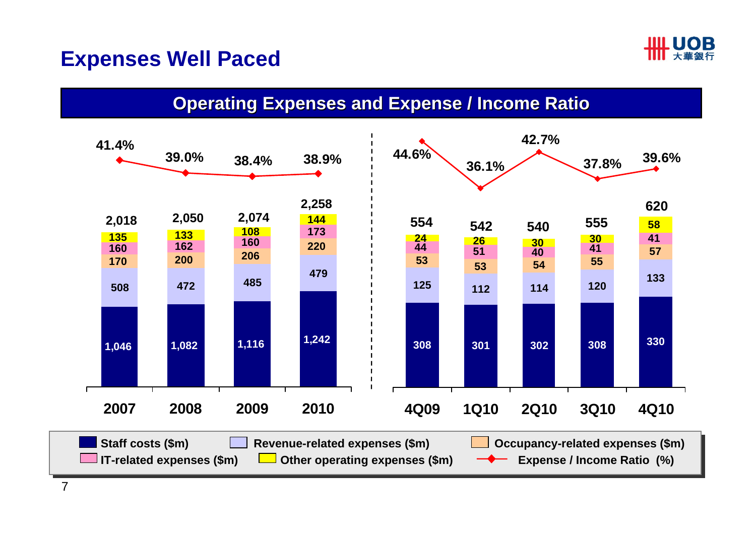

### **Expenses Well Paced**

#### **Operating Expenses and Expense / Income Ratio**

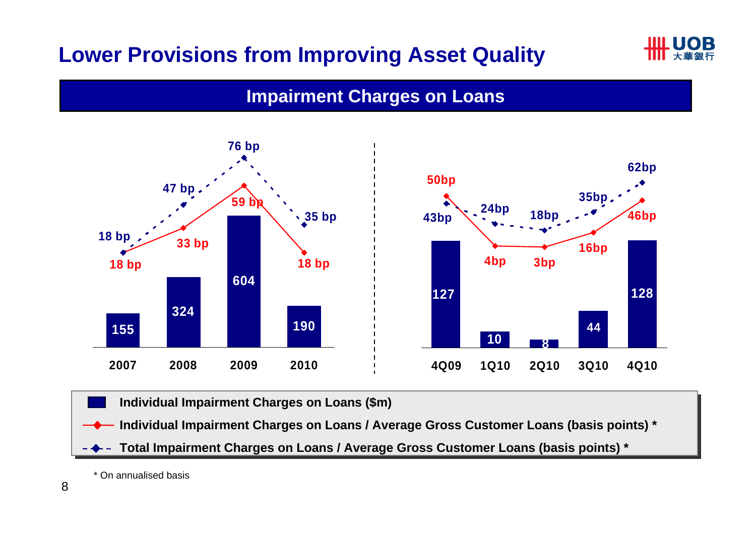# **Lower Provisions from Improving Asset Quality**



#### **Impairment Charges on Loans**



**Individual Impairment Charges on Loans (\$m) Individual Impairment Charges on Loans (\$m)** 

**Individual Impairment Charges on Loans / Average Gross Customer Loans (basis points) \* Individual Impairment Charges on Loans / Average Gross Customer Loans (basis points) \***

**Total Impairment Charges on Loans / Average Gross Customer Loans (basis points) \* Total Impairment Charges on Loans / Average Gross Customer Loans (basis points) \***

\* On annualised basis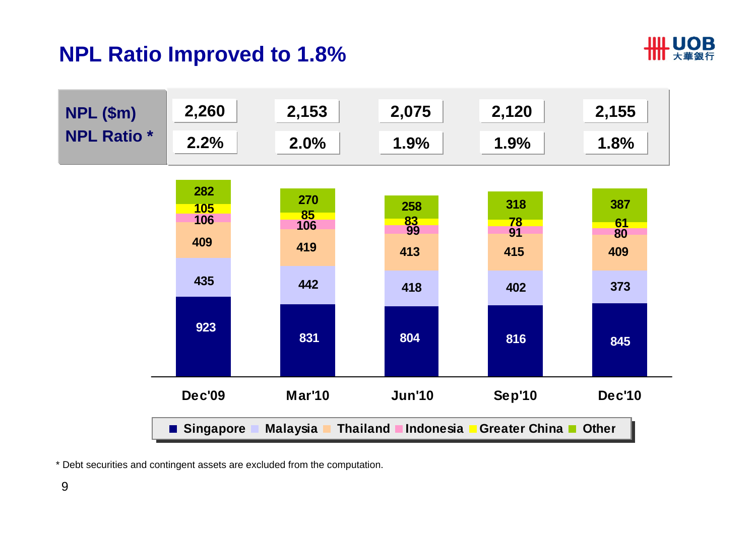# **NPL Ratio Improved to 1.8%**





\* Debt securities and contingent assets are excluded from the computation.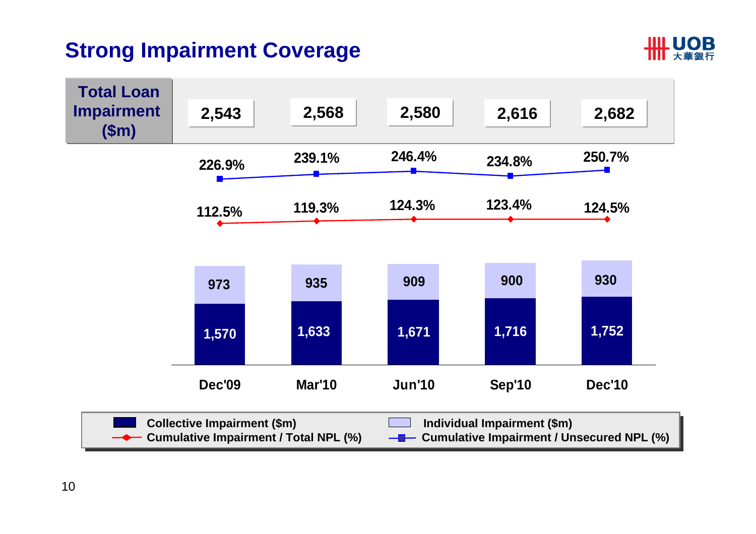# **Strong Impairment Coverage**



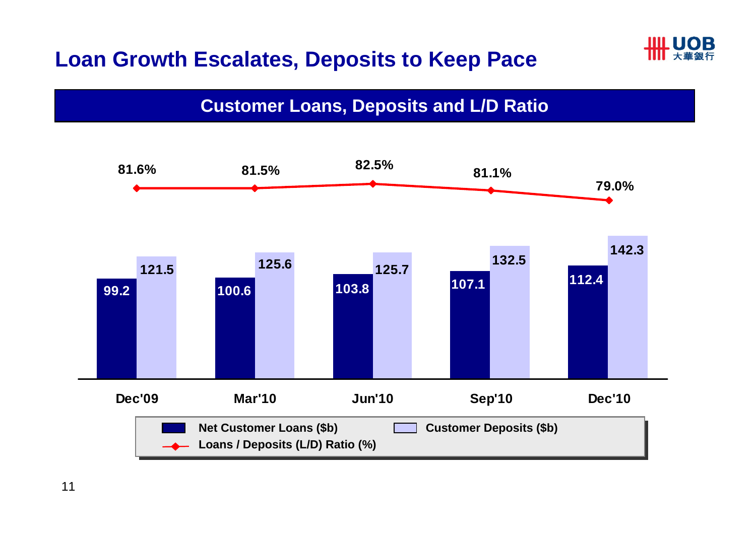# **Loan Growth Escalates, Deposits to Keep Pace**



#### **Customer Loans, Deposits and L/D Ratio**

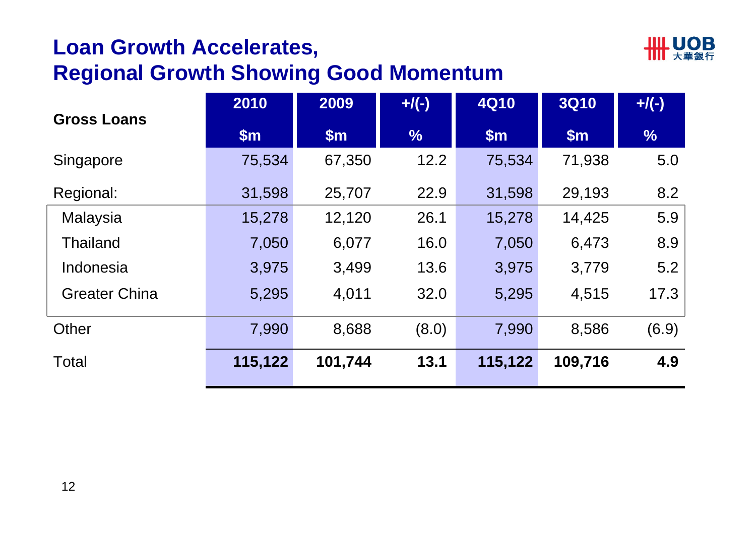# **Loan Growth Accelerates,**



### **Regional Growth Showing Good Momentum**

| <b>Gross Loans</b>   | 2010    | 2009    | $+$ /(-)      | <b>4Q10</b> | <b>3Q10</b> | $+$ /(-)      |
|----------------------|---------|---------|---------------|-------------|-------------|---------------|
|                      | \$m\$   | \$m\$   | $\frac{0}{6}$ | \$m\$       | \$m\$       | $\frac{0}{6}$ |
| Singapore            | 75,534  | 67,350  | 12.2          | 75,534      | 71,938      | 5.0           |
| Regional:            | 31,598  | 25,707  | 22.9          | 31,598      | 29,193      | 8.2           |
| <b>Malaysia</b>      | 15,278  | 12,120  | 26.1          | 15,278      | 14,425      | 5.9           |
| <b>Thailand</b>      | 7,050   | 6,077   | 16.0          | 7,050       | 6,473       | 8.9           |
| Indonesia            | 3,975   | 3,499   | 13.6          | 3,975       | 3,779       | 5.2           |
| <b>Greater China</b> | 5,295   | 4,011   | 32.0          | 5,295       | 4,515       | 17.3          |
| Other                | 7,990   | 8,688   | (8.0)         | 7,990       | 8,586       | (6.9)         |
| Total                | 115,122 | 101,744 | 13.1          | 115,122     | 109,716     | 4.9           |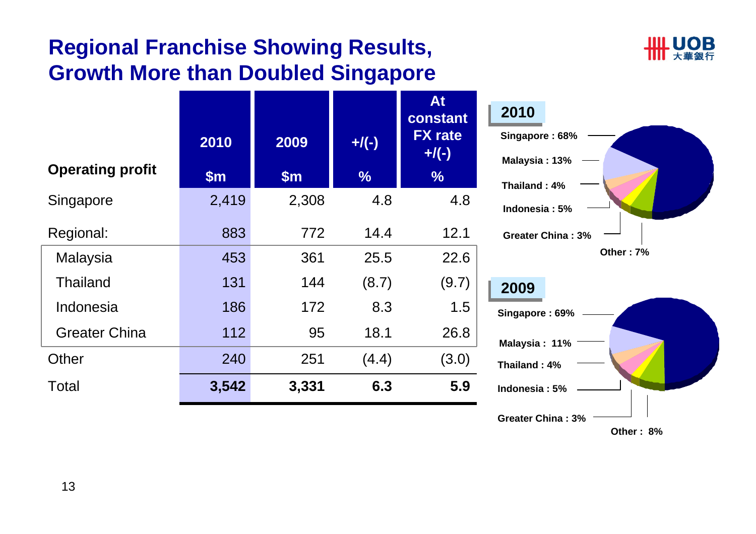# **Regional Franchise Showing Results, Growth More than Doubled Singapore**



| <b>Operating profit</b><br>Singapore | 2010<br>\$m\$<br>2,419 | 2009<br>\$m\$<br>2,308 | $+$ /(-)<br>$\frac{9}{6}$<br>4.8 | <b>At</b><br>constant<br><b>FX</b> rate<br>$+/(-)$<br>$\frac{0}{6}$<br>4.8 | 2010<br>Singapore: 68%<br>Malaysia: 13%<br>Thailand: 4% |
|--------------------------------------|------------------------|------------------------|----------------------------------|----------------------------------------------------------------------------|---------------------------------------------------------|
| Regional:<br>Malaysia                | 883<br>453             | 772<br>361             | 14.4<br>25.5                     | 12.1<br>22.6                                                               | Indonesia: 5%<br><b>Greater China: 3%</b><br>Other: 7%  |
| <b>Thailand</b><br>Indonesia         | 131<br>186             | 144<br>172             | (8.7)<br>8.3                     | (9.7)<br>1.5                                                               | 2009<br>Singapore: 69%                                  |
| <b>Greater China</b>                 | 112                    | 95                     | 18.1                             | 26.8                                                                       | Malaysia: 11%                                           |
| Other                                | 240                    | 251                    | (4.4)                            | (3.0)                                                                      | Thailand: 4%                                            |
| <b>Total</b>                         | 3,542                  | 3,331                  | 6.3                              | 5.9                                                                        | Indonesia: 5%                                           |

**Other : 8%**

**Greater China : 3%**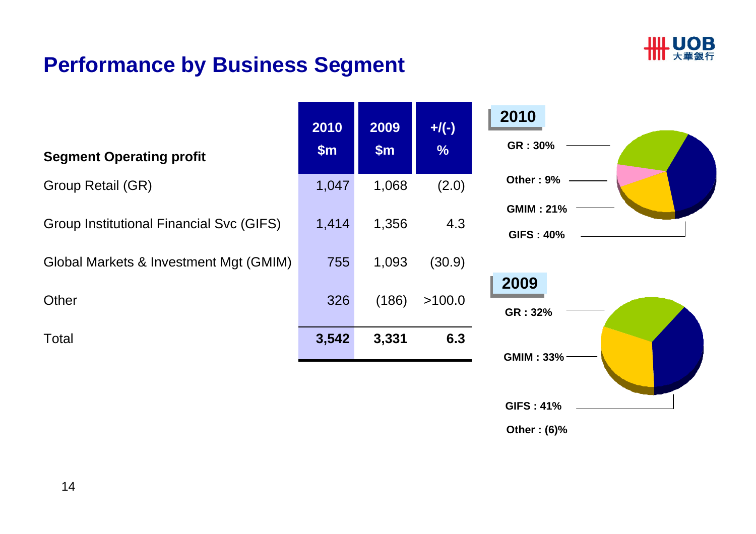

# **Performance by Business Segment**

|                                          | 2010  | 2009  | $+$ /(-)      |
|------------------------------------------|-------|-------|---------------|
| <b>Segment Operating profit</b>          | \$m\$ | \$m\$ | $\frac{9}{6}$ |
| Group Retail (GR)                        | 1,047 | 1,068 | (2.0)         |
| Group Institutional Financial Svc (GIFS) | 1,414 | 1,356 | 4.3           |
| Global Markets & Investment Mgt (GMIM)   | 755   | 1,093 | (30.9)        |
| Other                                    | 326   | (186) | >100.0        |
| Total                                    | 3,542 | 3,331 | 6.3           |
|                                          |       |       |               |
|                                          |       |       |               |



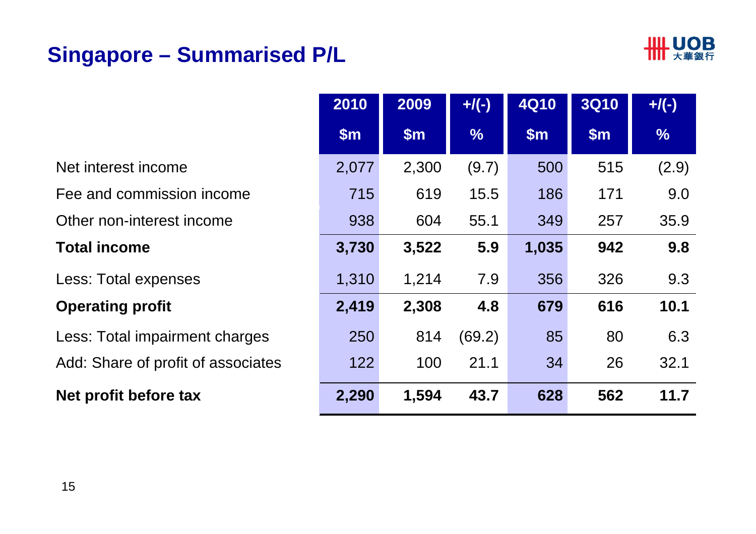# **Singapore – Summarised P/L**



|                                    | 2010          | 2009          | $+$ /(-)      | <b>4Q10</b>   | <b>3Q10</b> | $+$ /(-)      |
|------------------------------------|---------------|---------------|---------------|---------------|-------------|---------------|
|                                    | $\mathsf{Sm}$ | $\mathsf{Sm}$ | $\frac{9}{6}$ | $\mathsf{Sm}$ | \$m\$       | $\frac{0}{6}$ |
| Net interest income                | 2,077         | 2,300         | (9.7)         | 500           | 515         | (2.9)         |
| Fee and commission income          | 715           | 619           | 15.5          | 186           | 171         | 9.0           |
| Other non-interest income          | 938           | 604           | 55.1          | 349           | 257         | 35.9          |
| <b>Total income</b>                | 3,730         | 3,522         | 5.9           | 1,035         | 942         | 9.8           |
| Less: Total expenses               | 1,310         | 1,214         | 7.9           | 356           | 326         | 9.3           |
| <b>Operating profit</b>            | 2,419         | 2,308         | 4.8           | 679           | 616         | 10.1          |
| Less: Total impairment charges     | 250           | 814           | (69.2)        | 85            | 80          | 6.3           |
| Add: Share of profit of associates | 122           | 100           | 21.1          | 34            | 26          | 32.1          |
| Net profit before tax              | 2,290         | 1,594         | 43.7          | 628           | 562         | 11.7          |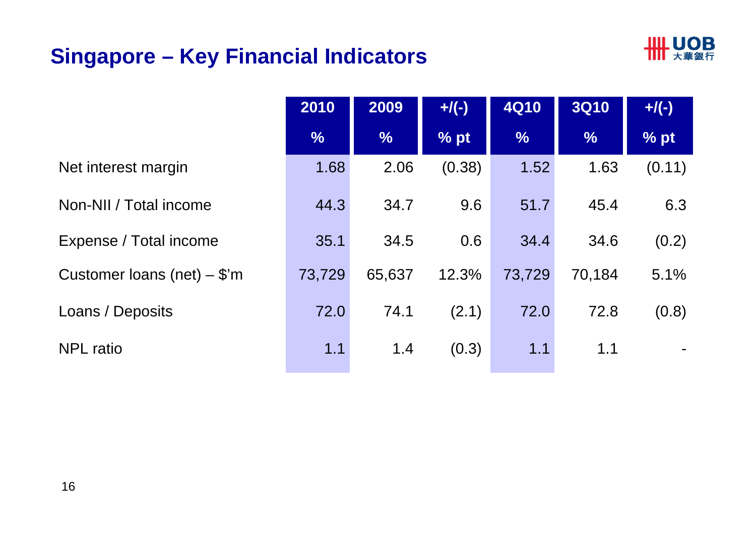# **Singapore – Key Financial Indicators**



|                               | 2010          | 2009          | $+$ /(-) | <b>4Q10</b>   | <b>3Q10</b>   | $+$ /(-) |
|-------------------------------|---------------|---------------|----------|---------------|---------------|----------|
|                               | $\frac{9}{6}$ | $\frac{9}{6}$ | % pt     | $\frac{9}{6}$ | $\frac{9}{6}$ | % pt     |
| Net interest margin           | 1.68          | 2.06          | (0.38)   | 1.52          | 1.63          | (0.11)   |
| Non-NII / Total income        | 44.3          | 34.7          | 9.6      | 51.7          | 45.4          | 6.3      |
| Expense / Total income        | 35.1          | 34.5          | 0.6      | 34.4          | 34.6          | (0.2)    |
| Customer loans (net) $-$ \$'m | 73,729        | 65,637        | 12.3%    | 73,729        | 70,184        | 5.1%     |
| Loans / Deposits              | 72.0          | 74.1          | (2.1)    | 72.0          | 72.8          | (0.8)    |
| <b>NPL</b> ratio              | 1.1           | 1.4           | (0.3)    | 1.1           | 1.1           |          |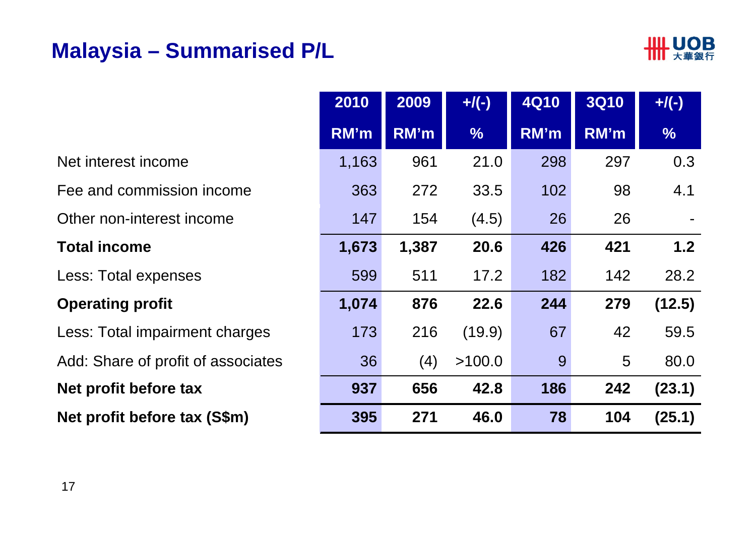### **Malaysia – Summarised P/L**



-

**(12.5)**

|                                    | 2010  | 2009  | $+$ /(-)      | <b>4Q10</b> | <b>3Q10</b> | $+$ /(-)      |
|------------------------------------|-------|-------|---------------|-------------|-------------|---------------|
|                                    | RM'm  | RM'm  | $\frac{9}{6}$ | RM'm        | RM'm        | $\frac{9}{6}$ |
| Net interest income                | 1,163 | 961   | 21.0          | 298         | 297         | 0.3           |
| Fee and commission income          | 363   | 272   | 33.5          | 102         | 98          | 4.1           |
| Other non-interest income          | 147   | 154   | (4.5)         | 26          | 26          | Ĭ.            |
| <b>Total income</b>                | 1,673 | 1,387 | 20.6          | 426         | 421         | 1.2           |
| Less: Total expenses               | 599   | 511   | 17.2          | 182         | 142         | 28.2          |
| <b>Operating profit</b>            | 1,074 | 876   | 22.6          | 244         | 279         | (12.5)        |
| Less: Total impairment charges     | 173   | 216   | (19.9)        | 67          | 42          | 59.5          |
| Add: Share of profit of associates | 36    | (4)   | >100.0        | 9           | 5           | 80.0          |
| Net profit before tax              | 937   | 656   | 42.8          | 186         | 242         | (23.1)        |
| Net profit before tax (S\$m)       | 395   | 271   | 46.0          | 78          | 104         | (25.1)        |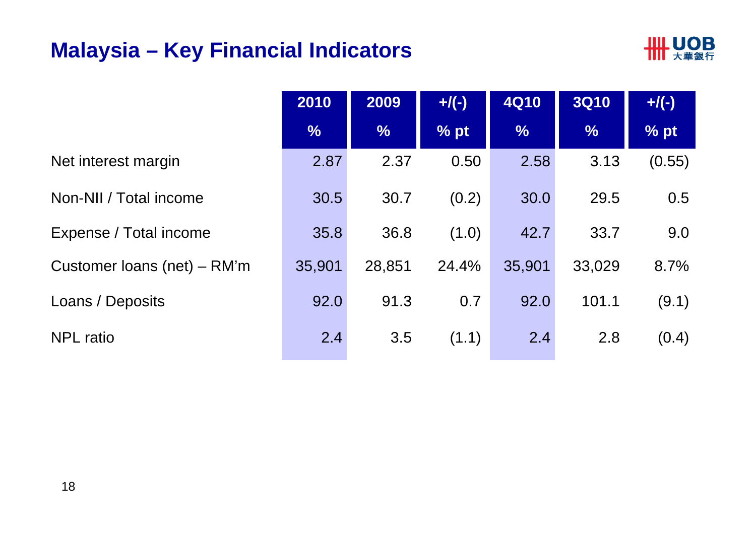### **Malaysia – Key Financial Indicators**



|                               | 2010          | 2009          | $+$ /(-) | <b>4Q10</b>   | <b>3Q10</b>   | $+$ /(-) |
|-------------------------------|---------------|---------------|----------|---------------|---------------|----------|
|                               | $\frac{9}{6}$ | $\frac{9}{6}$ | % pt     | $\frac{9}{6}$ | $\frac{9}{6}$ | % pt     |
| Net interest margin           | 2.87          | 2.37          | 0.50     | 2.58          | 3.13          | (0.55)   |
| Non-NII / Total income        | 30.5          | 30.7          | (0.2)    | 30.0          | 29.5          | 0.5      |
| Expense / Total income        | 35.8          | 36.8          | (1.0)    | 42.7          | 33.7          | 9.0      |
| Customer loans (net) $-$ RM'm | 35,901        | 28,851        | 24.4%    | 35,901        | 33,029        | 8.7%     |
| Loans / Deposits              | 92.0          | 91.3          | 0.7      | 92.0          | 101.1         | (9.1)    |
| <b>NPL</b> ratio              | 2.4           | 3.5           | (1.1)    | 2.4           | 2.8           | (0.4)    |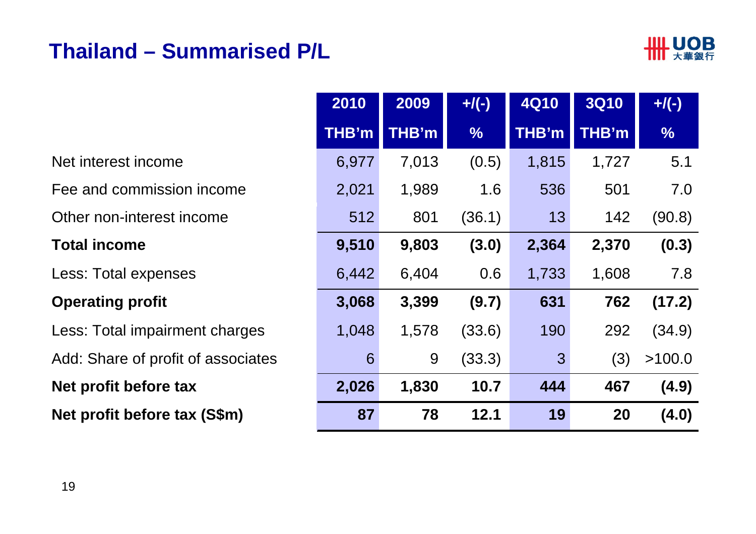### **Thailand – Summarised P/L**



|                                    | 2010  | 2009  | $+$ /(-)      | <b>4Q10</b>    | <b>3Q10</b> | $+$ /(-)      |
|------------------------------------|-------|-------|---------------|----------------|-------------|---------------|
|                                    | THB'm | THB'm | $\frac{0}{0}$ | THB'm          | THB'm       | $\frac{1}{2}$ |
| Net interest income                | 6,977 | 7,013 | (0.5)         | 1,815          | 1,727       | 5.1           |
| Fee and commission income          | 2,021 | 1,989 | 1.6           | 536            | 501         | 7.0           |
| Other non-interest income          | 512   | 801   | (36.1)        | 13             | 142         | (90.8)        |
| <b>Total income</b>                | 9,510 | 9,803 | (3.0)         | 2,364          | 2,370       | (0.3)         |
| Less: Total expenses               | 6,442 | 6,404 | 0.6           | 1,733          | 1,608       | 7.8           |
| <b>Operating profit</b>            | 3,068 | 3,399 | (9.7)         | 631            | 762         | (17.2)        |
| Less: Total impairment charges     | 1,048 | 1,578 | (33.6)        | 190            | 292         | (34.9)        |
| Add: Share of profit of associates | 6     | 9     | (33.3)        | $\overline{3}$ | (3)         | >100.0        |
| Net profit before tax              | 2,026 | 1,830 | 10.7          | 444            | 467         | (4.9)         |
| Net profit before tax (S\$m)       | 87    | 78    | 12.1          | 19             | 20          | (4.0)         |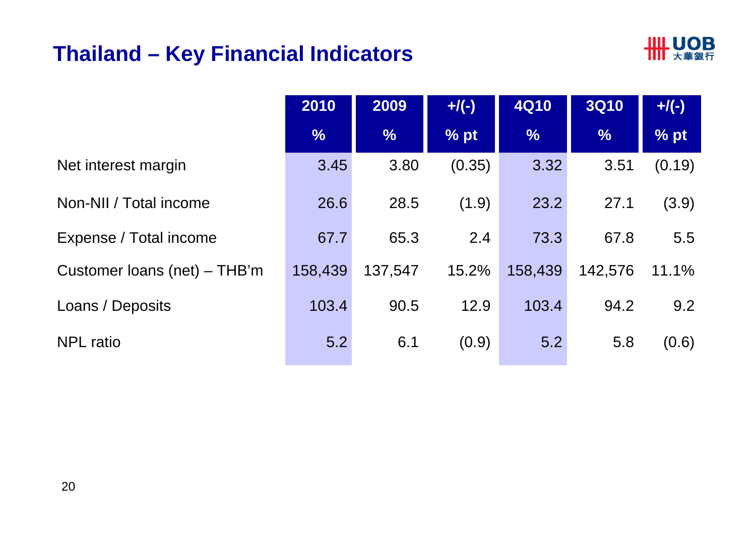# **Thailand – Key Financial Indicators**



|                              | 2010          | 2009          | $+/(-)$           | <b>4Q10</b>   | <b>3Q10</b>   | $+/(-)$           |
|------------------------------|---------------|---------------|-------------------|---------------|---------------|-------------------|
|                              | $\frac{9}{6}$ | $\frac{9}{6}$ | $%$ <sub>pt</sub> | $\frac{9}{6}$ | $\frac{9}{6}$ | $%$ <sub>pt</sub> |
| Net interest margin          | 3.45          | 3.80          | (0.35)            | 3.32          | 3.51          | (0.19)            |
| Non-NII / Total income       | 26.6          | 28.5          | (1.9)             | 23.2          | 27.1          | (3.9)             |
| Expense / Total income       | 67.7          | 65.3          | 2.4               | 73.3          | 67.8          | 5.5               |
| Customer loans (net) – THB'm | 158,439       | 137,547       | 15.2%             | 158,439       | 142,576       | 11.1%             |
| Loans / Deposits             | 103.4         | 90.5          | 12.9              | 103.4         | 94.2          | 9.2               |
| <b>NPL</b> ratio             | 5.2           | 6.1           | (0.9)             | 5.2           | 5.8           | (0.6)             |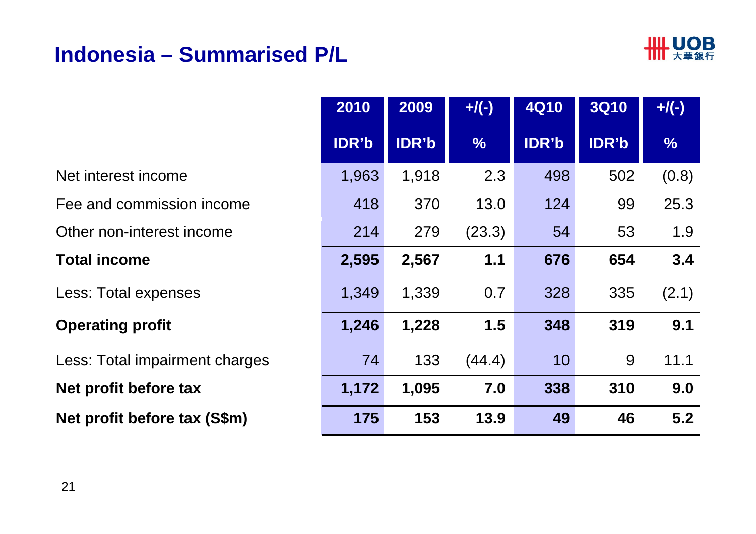# **Indonesia – Summarised P/L**



Fee and commission income**Net profit before tax Net profit before tax (S\$m) 175 153 49 5.2** Net interest incomee 1,963 Other non-interest incomee 214 **Total income 2,595** Less: Total expenses Less: Total impairment charges **Operating profit** 

|     | 2010  | 2009  | $+$ /(-)      | <b>4Q10</b> | <b>3Q10</b>  | $+$ /(-)      |
|-----|-------|-------|---------------|-------------|--------------|---------------|
|     | IDR'b | IDR'b | $\frac{0}{6}$ | IDR'b       | <b>IDR'b</b> | $\frac{9}{6}$ |
|     | 1,963 | 1,918 | 2.3           | 498         | 502          | (0.8)         |
| e   | 418   | 370   | 13.0          | 124         | 99           | 25.3          |
|     | 214   | 279   | (23.3)        | 54          | 53           | 1.9           |
|     | 2,595 | 2,567 | 1.1           | 676         | 654          | 3.4           |
|     | 1,349 | 1,339 | 0.7           | 328         | 335          | (2.1)         |
|     | 1,246 | 1,228 | 1.5           | 348         | 319          | 9.1           |
| ges | 74    | 133   | (44.4)        | 10          | 9            | 11.1          |
|     | 1,172 | 1,095 | 7.0           | 338         | 310          | 9.0           |
| )   | 175   | 153   | 13.9          | 49          | 46           | 5.2           |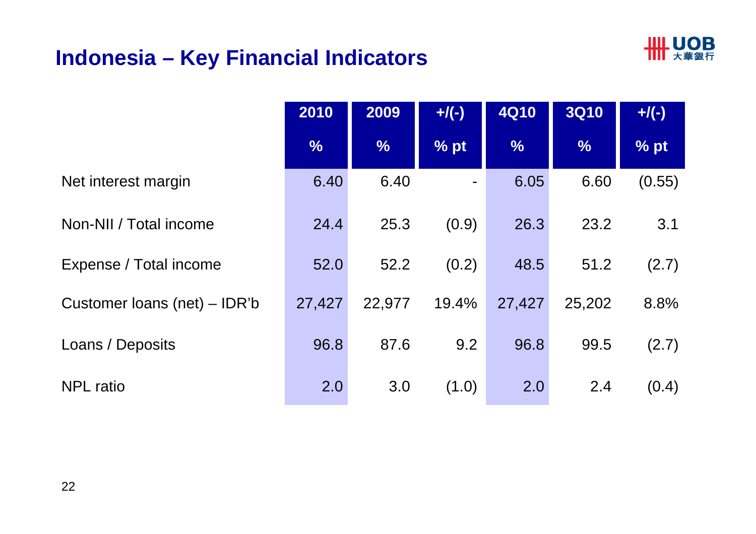# **Indonesia – Key Financial Indicators**



|                              | 2010          | 2009          | $+$ /(-) | <b>4Q10</b>   | <b>3Q10</b>   | $+$ /(-) |
|------------------------------|---------------|---------------|----------|---------------|---------------|----------|
|                              | $\frac{0}{6}$ | $\frac{9}{6}$ | % pt     | $\frac{9}{6}$ | $\frac{9}{6}$ | % pt     |
| Net interest margin          | 6.40          | 6.40          |          | 6.05          | 6.60          | (0.55)   |
| Non-NII / Total income       | 24.4          | 25.3          | (0.9)    | 26.3          | 23.2          | 3.1      |
| Expense / Total income       | 52.0          | 52.2          | (0.2)    | 48.5          | 51.2          | (2.7)    |
| Customer loans (net) – IDR'b | 27,427        | 22,977        | 19.4%    | 27,427        | 25,202        | 8.8%     |
| Loans / Deposits             | 96.8          | 87.6          | 9.2      | 96.8          | 99.5          | (2.7)    |
| <b>NPL</b> ratio             | 2.0           | 3.0           | (1.0)    | 2.0           | 2.4           | (0.4)    |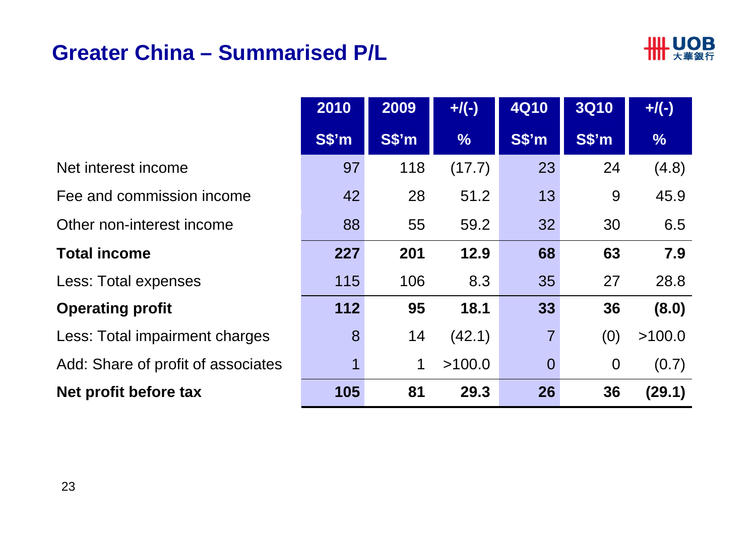# **Greater China – Summarised P/L**



|                                    | 2010   | 2009  | $+/(-)$       | <b>4Q10</b>    | <b>3Q10</b>        | $+$ /(-)      |
|------------------------------------|--------|-------|---------------|----------------|--------------------|---------------|
|                                    | $S\$ m | S\$'m | $\frac{0}{6}$ | S\$'m          | $S\$ <sup>'m</sup> | $\frac{9}{6}$ |
| Net interest income                | 97     | 118   | (17.7)        | 23             | 24                 | (4.8)         |
| Fee and commission income          | 42     | 28    | 51.2          | 13             | 9                  | 45.9          |
| Other non-interest income          | 88     | 55    | 59.2          | 32             | 30                 | 6.5           |
| <b>Total income</b>                | 227    | 201   | 12.9          | 68             | 63                 | 7.9           |
| Less: Total expenses               | 115    | 106   | 8.3           | 35             | 27                 | 28.8          |
| <b>Operating profit</b>            | 112    | 95    | 18.1          | 33             | 36                 | (8.0)         |
| Less: Total impairment charges     | 8      | 14    | (42.1)        | $\overline{7}$ | (0)                | >100.0        |
| Add: Share of profit of associates | 1      | 1     | >100.0        | $\overline{0}$ | $\overline{0}$     | (0.7)         |
| Net profit before tax              | 105    | 81    | 29.3          | 26             | 36                 | (29.1)        |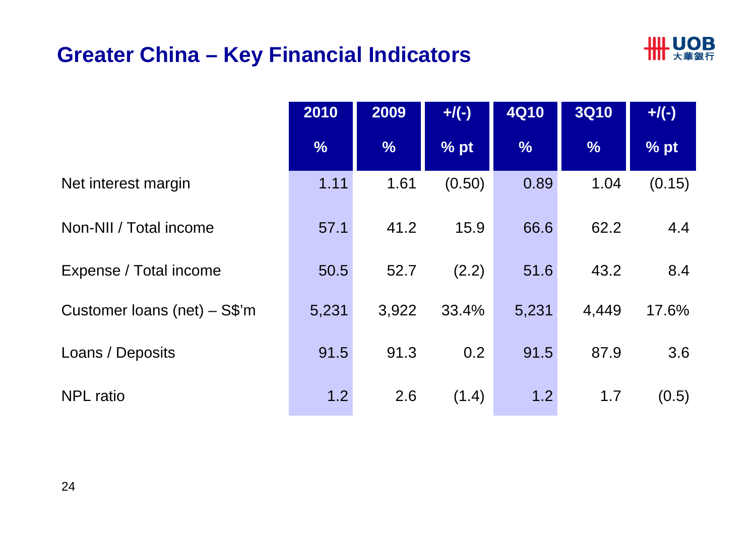# **Greater China – Key Financial Indicators**



|                                | 2010          | 2009          | $+$ /(-) | <b>4Q10</b>   | <b>3Q10</b>   | $+$ /(-) |
|--------------------------------|---------------|---------------|----------|---------------|---------------|----------|
|                                | $\frac{9}{6}$ | $\frac{0}{6}$ | % pt     | $\frac{0}{6}$ | $\frac{9}{6}$ | % pt     |
| Net interest margin            | 1.11          | 1.61          | (0.50)   | 0.89          | 1.04          | (0.15)   |
| Non-NII / Total income         | 57.1          | 41.2          | 15.9     | 66.6          | 62.2          | 4.4      |
| Expense / Total income         | 50.5          | 52.7          | (2.2)    | 51.6          | 43.2          | 8.4      |
| Customer loans (net) $-$ S\$'m | 5,231         | 3,922         | 33.4%    | 5,231         | 4,449         | 17.6%    |
| Loans / Deposits               | 91.5          | 91.3          | 0.2      | 91.5          | 87.9          | 3.6      |
| <b>NPL</b> ratio               | 1.2           | 2.6           | (1.4)    | 1.2           | 1.7           | (0.5)    |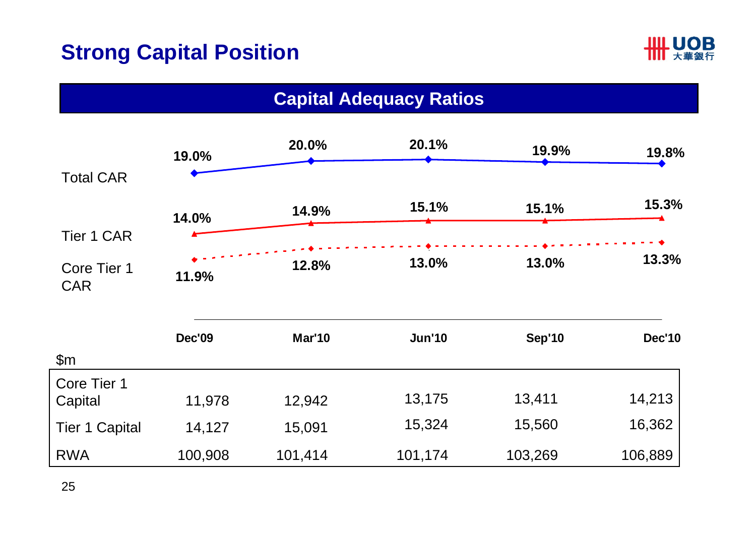# **Strong Capital Position**



| <b>Capital Adequacy Ratios</b> |               |               |               |               |               |  |  |
|--------------------------------|---------------|---------------|---------------|---------------|---------------|--|--|
| <b>Total CAR</b>               | 19.0%         | 20.0%         | 20.1%         | 19.9%         | 19.8%         |  |  |
|                                | 14.0%         | 14.9%         | 15.1%         | 15.1%         | 15.3%         |  |  |
| <b>Tier 1 CAR</b>              |               |               |               |               |               |  |  |
| Core Tier 1<br><b>CAR</b>      | 11.9%         | 12.8%         | 13.0%         | 13.0%         | 13.3%         |  |  |
| \$m\$                          | <b>Dec'09</b> | <b>Mar'10</b> | <b>Jun'10</b> | <b>Sep'10</b> | <b>Dec'10</b> |  |  |
| Core Tier 1                    |               |               |               |               |               |  |  |
| Capital                        | 11,978        | 12,942        | 13,175        | 13,411        | 14,213        |  |  |
| <b>Tier 1 Capital</b>          | 14,127        | 15,091        | 15,324        | 15,560        | 16,362        |  |  |
| <b>RWA</b>                     | 100,908       | 101,414       | 101,174       | 103,269       | 106,889       |  |  |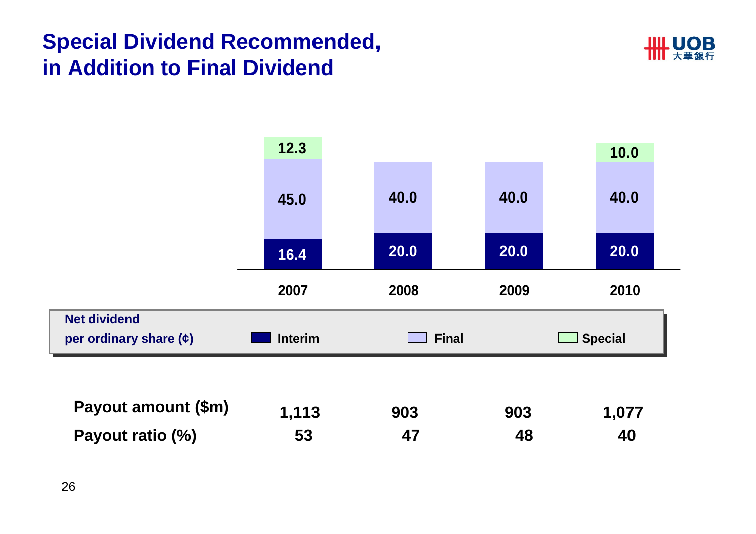# **Special Dividend Recommended, in Addition to Final Dividend**